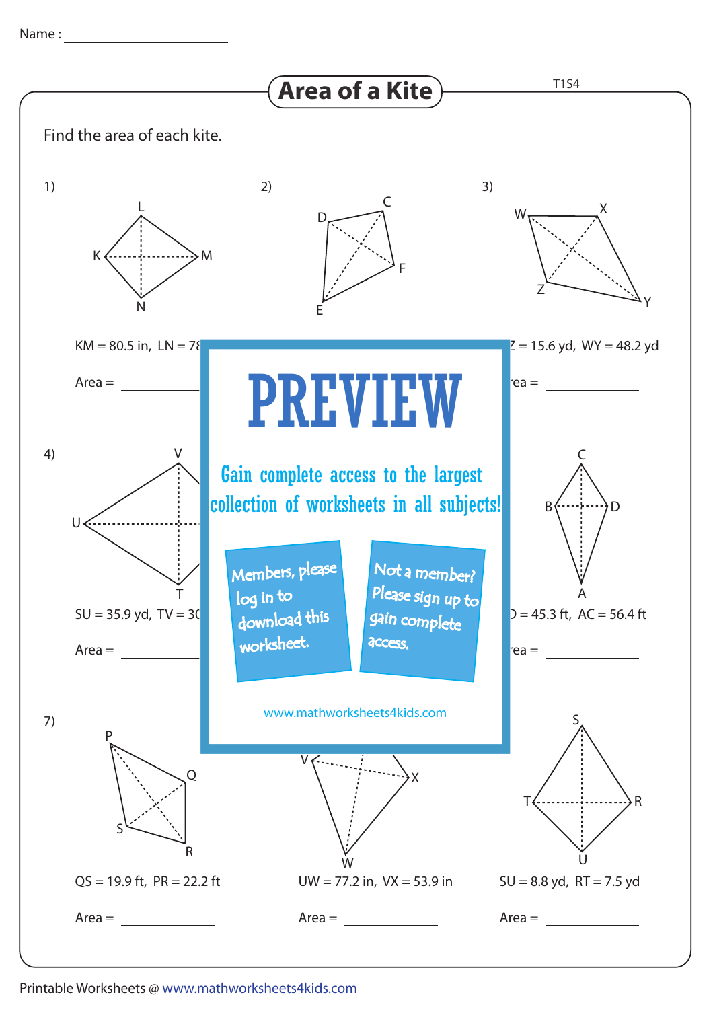